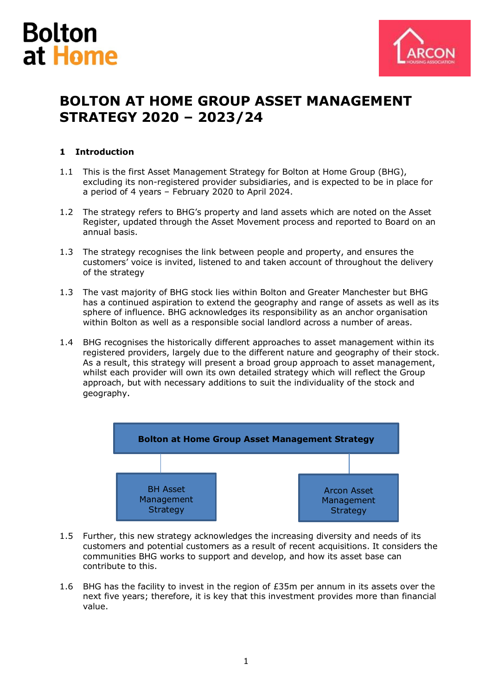



# **BOLTON AT HOME GROUP ASSET MANAGEMENT STRATEGY 2020 – 2023/24**

### **1 Introduction**

- 1.1 This is the first Asset Management Strategy for Bolton at Home Group (BHG), excluding its non-registered provider subsidiaries, and is expected to be in place for a period of 4 years – February 2020 to April 2024.
- 1.2 The strategy refers to BHG's property and land assets which are noted on the Asset Register, updated through the Asset Movement process and reported to Board on an annual basis.
- 1.3 The strategy recognises the link between people and property, and ensures the customers' voice is invited, listened to and taken account of throughout the delivery of the strategy
- 1.3 The vast majority of BHG stock lies within Bolton and Greater Manchester but BHG has a continued aspiration to extend the geography and range of assets as well as its sphere of influence. BHG acknowledges its responsibility as an anchor organisation within Bolton as well as a responsible social landlord across a number of areas.
- 1.4 BHG recognises the historically different approaches to asset management within its registered providers, largely due to the different nature and geography of their stock. As a result, this strategy will present a broad group approach to asset management, whilst each provider will own its own detailed strategy which will reflect the Group approach, but with necessary additions to suit the individuality of the stock and geography.



- 1.5 Further, this new strategy acknowledges the increasing diversity and needs of its customers and potential customers as a result of recent acquisitions. It considers the communities BHG works to support and develop, and how its asset base can contribute to this.
- 1.6 BHG has the facility to invest in the region of  $E35m$  per annum in its assets over the next five years; therefore, it is key that this investment provides more than financial value.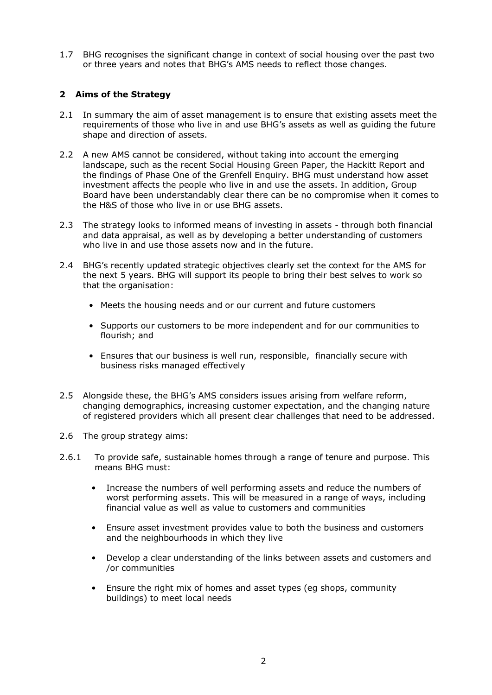1.7 BHG recognises the significant change in context of social housing over the past two or three years and notes that BHG's AMS needs to reflect those changes.

### **2 Aims of the Strategy**

- 2.1 In summary the aim of asset management is to ensure that existing assets meet the requirements of those who live in and use BHG's assets as well as guiding the future shape and direction of assets.
- 2.2 A new AMS cannot be considered, without taking into account the emerging landscape, such as the recent Social Housing Green Paper, the Hackitt Report and the findings of Phase One of the Grenfell Enquiry. BHG must understand how asset investment affects the people who live in and use the assets. In addition, Group Board have been understandably clear there can be no compromise when it comes to the H&S of those who live in or use BHG assets.
- 2.3 The strategy looks to informed means of investing in assets through both financial and data appraisal, as well as by developing a better understanding of customers who live in and use those assets now and in the future.
- 2.4 BHG's recently updated strategic objectives clearly set the context for the AMS for the next 5 years. BHG will support its people to bring their best selves to work so that the organisation:
	- Meets the housing needs and or our current and future customers
	- Supports our customers to be more independent and for our communities to flourish; and
	- Ensures that our business is well run, responsible, financially secure with business risks managed effectively
- 2.5 Alongside these, the BHG's AMS considers issues arising from welfare reform, changing demographics, increasing customer expectation, and the changing nature of registered providers which all present clear challenges that need to be addressed.
- 2.6 The group strategy aims:
- 2.6.1 To provide safe, sustainable homes through a range of tenure and purpose. This means BHG must:
	- Increase the numbers of well performing assets and reduce the numbers of worst performing assets. This will be measured in a range of ways, including financial value as well as value to customers and communities
	- Ensure asset investment provides value to both the business and customers and the neighbourhoods in which they live
	- Develop a clear understanding of the links between assets and customers and /or communities
	- Ensure the right mix of homes and asset types (eg shops, community buildings) to meet local needs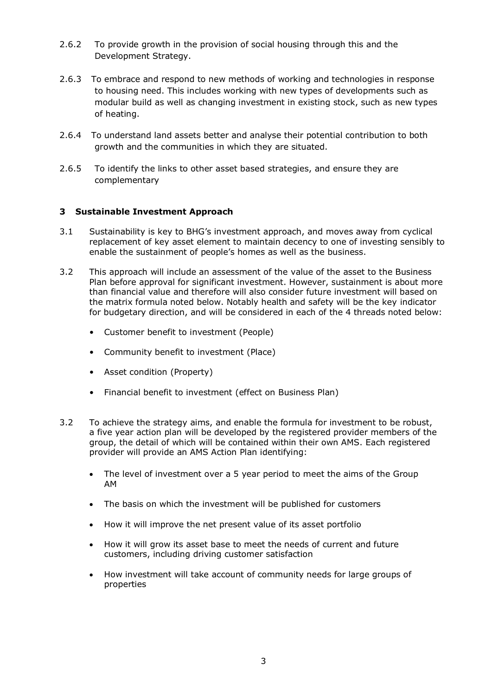- 2.6.2 To provide growth in the provision of social housing through this and the Development Strategy.
- 2.6.3 To embrace and respond to new methods of working and technologies in response to housing need. This includes working with new types of developments such as modular build as well as changing investment in existing stock, such as new types of heating.
- 2.6.4 To understand land assets better and analyse their potential contribution to both growth and the communities in which they are situated.
- 2.6.5 To identify the links to other asset based strategies, and ensure they are complementary

### **3 Sustainable Investment Approach**

- 3.1 Sustainability is key to BHG's investment approach, and moves away from cyclical replacement of key asset element to maintain decency to one of investing sensibly to enable the sustainment of people's homes as well as the business.
- 3.2 This approach will include an assessment of the value of the asset to the Business Plan before approval for significant investment. However, sustainment is about more than financial value and therefore will also consider future investment will based on the matrix formula noted below. Notably health and safety will be the key indicator for budgetary direction, and will be considered in each of the 4 threads noted below:
	- Customer benefit to investment (People)
	- Community benefit to investment (Place)
	- Asset condition (Property)
	- Financial benefit to investment (effect on Business Plan)
- 3.2 To achieve the strategy aims, and enable the formula for investment to be robust, a five year action plan will be developed by the registered provider members of the group, the detail of which will be contained within their own AMS. Each registered provider will provide an AMS Action Plan identifying:
	- The level of investment over a 5 year period to meet the aims of the Group AM
	- The basis on which the investment will be published for customers
	- How it will improve the net present value of its asset portfolio
	- How it will grow its asset base to meet the needs of current and future customers, including driving customer satisfaction
	- How investment will take account of community needs for large groups of properties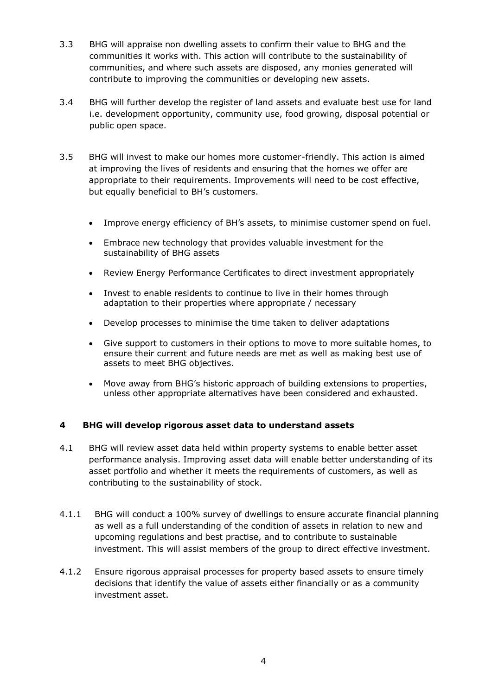- 3.3 BHG will appraise non dwelling assets to confirm their value to BHG and the communities it works with. This action will contribute to the sustainability of communities, and where such assets are disposed, any monies generated will contribute to improving the communities or developing new assets.
- 3.4 BHG will further develop the register of land assets and evaluate best use for land i.e. development opportunity, community use, food growing, disposal potential or public open space.
- 3.5 BHG will invest to make our homes more customer-friendly. This action is aimed at improving the lives of residents and ensuring that the homes we offer are appropriate to their requirements. Improvements will need to be cost effective, but equally beneficial to BH's customers.
	- Improve energy efficiency of BH's assets, to minimise customer spend on fuel.
	- Embrace new technology that provides valuable investment for the sustainability of BHG assets
	- Review Energy Performance Certificates to direct investment appropriately
	- Invest to enable residents to continue to live in their homes through adaptation to their properties where appropriate / necessary
	- Develop processes to minimise the time taken to deliver adaptations
	- Give support to customers in their options to move to more suitable homes, to ensure their current and future needs are met as well as making best use of assets to meet BHG objectives.
	- Move away from BHG's historic approach of building extensions to properties, unless other appropriate alternatives have been considered and exhausted.

### **4 BHG will develop rigorous asset data to understand assets**

- 4.1 BHG will review asset data held within property systems to enable better asset performance analysis. Improving asset data will enable better understanding of its asset portfolio and whether it meets the requirements of customers, as well as contributing to the sustainability of stock.
- 4.1.1 BHG will conduct a 100% survey of dwellings to ensure accurate financial planning as well as a full understanding of the condition of assets in relation to new and upcoming regulations and best practise, and to contribute to sustainable investment. This will assist members of the group to direct effective investment.
- 4.1.2 Ensure rigorous appraisal processes for property based assets to ensure timely decisions that identify the value of assets either financially or as a community investment asset.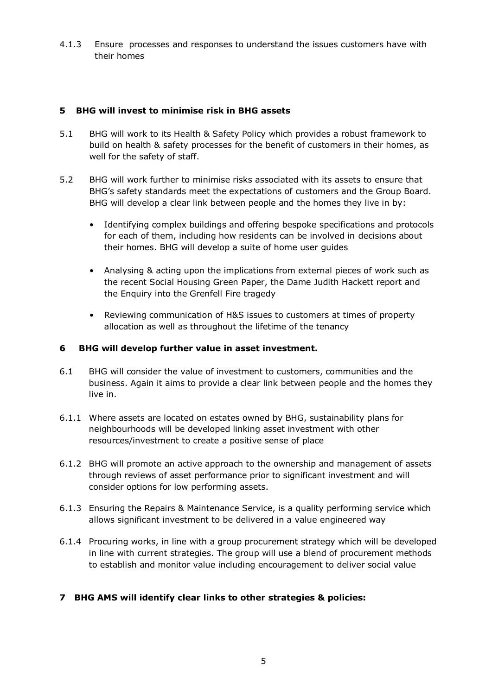4.1.3 Ensure processes and responses to understand the issues customers have with their homes

### **5 BHG will invest to minimise risk in BHG assets**

- 5.1 BHG will work to its Health & Safety Policy which provides a robust framework to build on health & safety processes for the benefit of customers in their homes, as well for the safety of staff.
- 5.2 BHG will work further to minimise risks associated with its assets to ensure that BHG's safety standards meet the expectations of customers and the Group Board. BHG will develop a clear link between people and the homes they live in by:
	- Identifying complex buildings and offering bespoke specifications and protocols for each of them, including how residents can be involved in decisions about their homes. BHG will develop a suite of home user guides
	- Analysing & acting upon the implications from external pieces of work such as the recent Social Housing Green Paper, the Dame Judith Hackett report and the Enquiry into the Grenfell Fire tragedy
	- Reviewing communication of H&S issues to customers at times of property allocation as well as throughout the lifetime of the tenancy

### **6 BHG will develop further value in asset investment.**

- 6.1 BHG will consider the value of investment to customers, communities and the business. Again it aims to provide a clear link between people and the homes they live in.
- 6.1.1 Where assets are located on estates owned by BHG, sustainability plans for neighbourhoods will be developed linking asset investment with other resources/investment to create a positive sense of place
- 6.1.2 BHG will promote an active approach to the ownership and management of assets through reviews of asset performance prior to significant investment and will consider options for low performing assets.
- 6.1.3 Ensuring the Repairs & Maintenance Service, is a quality performing service which allows significant investment to be delivered in a value engineered way
- 6.1.4 Procuring works, in line with a group procurement strategy which will be developed in line with current strategies. The group will use a blend of procurement methods to establish and monitor value including encouragement to deliver social value

### **7 BHG AMS will identify clear links to other strategies & policies:**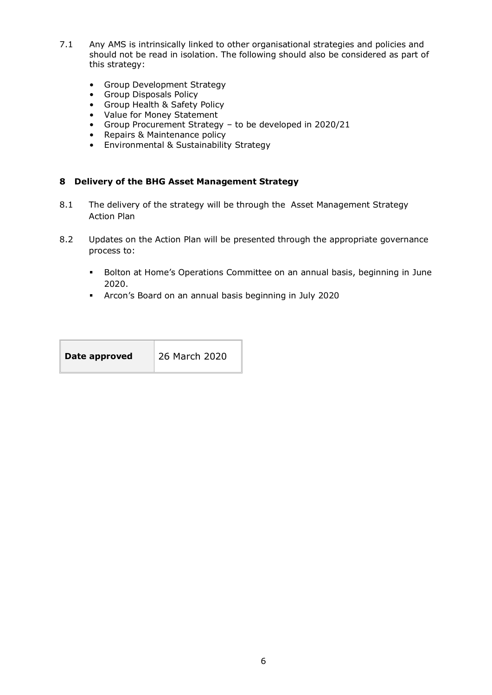- 7.1 Any AMS is intrinsically linked to other organisational strategies and policies and should not be read in isolation. The following should also be considered as part of this strategy:
	- Group Development Strategy
	- Group Disposals Policy
	- Group Health & Safety Policy
	-
	- Value for Money Statement<br>• Group Procurement Strateg<br>• Repairs & Maintenance polic • Group Procurement Strategy – to be developed in 2020/21
	- Repairs & Maintenance policy
	- Environmental & Sustainability Strategy

#### **8 Delivery of the BHG Asset Management Strategy**

- 8.1 The delivery of the strategy will be through the Asset Management Strategy Action Plan
- 8.2 Updates on the Action Plan will be presented through the appropriate governance process to:
	- **EXECT** Bolton at Home's Operations Committee on an annual basis, beginning in June 2020.
	- Arcon's Board on an annual basis beginning in July 2020

| Date approved | 26 March 2020 |
|---------------|---------------|
|               |               |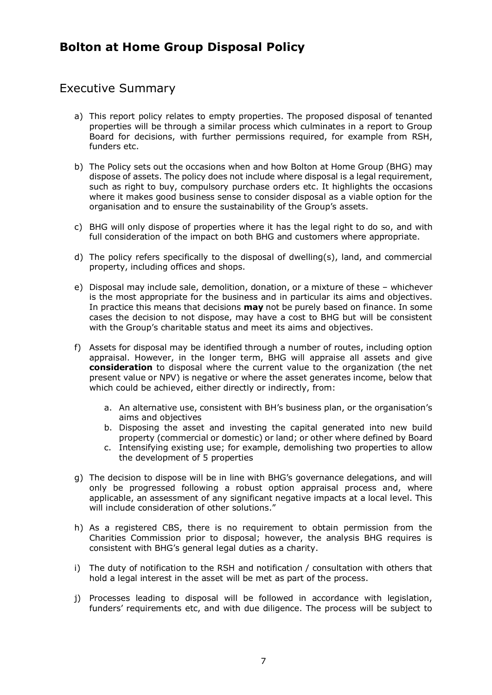# **Bolton at Home Group Disposal Policy**

# Executive Summary

- a) This report policy relates to empty properties. The proposed disposal of tenanted properties will be through a similar process which culminates in a report to Group Board for decisions, with further permissions required, for example from RSH, funders etc.
- b) The Policy sets out the occasions when and how Bolton at Home Group (BHG) may dispose of assets. The policy does not include where disposal is a legal requirement, such as right to buy, compulsory purchase orders etc. It highlights the occasions where it makes good business sense to consider disposal as a viable option for the organisation and to ensure the sustainability of the Group's assets.
- c) BHG will only dispose of properties where it has the legal right to do so, and with full consideration of the impact on both BHG and customers where appropriate.
- d) The policy refers specifically to the disposal of dwelling(s), land, and commercial property, including offices and shops.
- e) Disposal may include sale, demolition, donation, or a mixture of these whichever is the most appropriate for the business and in particular its aims and objectives. In practice this means that decisions **may** not be purely based on finance. In some cases the decision to not dispose, may have a cost to BHG but will be consistent with the Group's charitable status and meet its aims and objectives.
- f) Assets for disposal may be identified through a number of routes, including option appraisal. However, in the longer term, BHG will appraise all assets and give **consideration** to disposal where the current value to the organization (the net present value or NPV) is negative or where the asset generates income, below that which could be achieved, either directly or indirectly, from:
	- a. An alternative use, consistent with BH's business plan, or the organisation's aims and objectives
	- b. Disposing the asset and investing the capital generated into new build property (commercial or domestic) or land; or other where defined by Board
	- c. Intensifying existing use; for example, demolishing two properties to allow the development of 5 properties
- g) The decision to dispose will be in line with BHG's governance delegations, and will only be progressed following a robust option appraisal process and, where applicable, an assessment of any significant negative impacts at a local level. This will include consideration of other solutions."
- h) As a registered CBS, there is no requirement to obtain permission from the Charities Commission prior to disposal; however, the analysis BHG requires is consistent with BHG's general legal duties as a charity.
- i) The duty of notification to the RSH and notification / consultation with others that hold a legal interest in the asset will be met as part of the process.
- j) Processes leading to disposal will be followed in accordance with legislation, funders' requirements etc, and with due diligence. The process will be subject to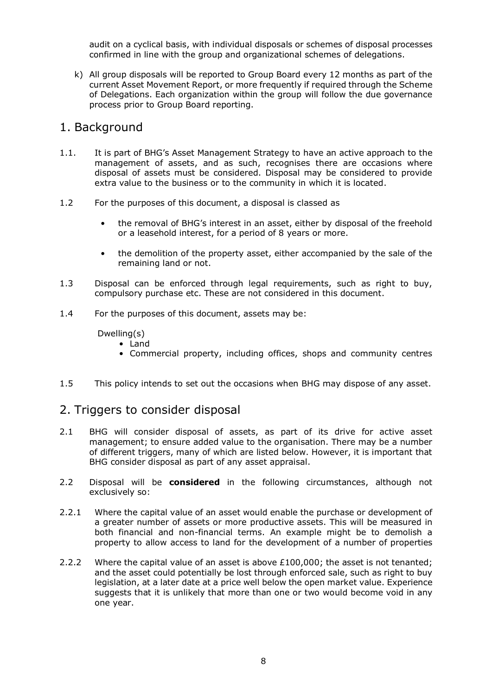audit on a cyclical basis, with individual disposals or schemes of disposal processes confirmed in line with the group and organizational schemes of delegations.

k) All group disposals will be reported to Group Board every 12 months as part of the current Asset Movement Report, or more frequently if required through the Scheme of Delegations. Each organization within the group will follow the due governance process prior to Group Board reporting.

### 1. Background

- 1.1. It is part of BHG's Asset Management Strategy to have an active approach to the management of assets, and as such, recognises there are occasions where disposal of assets must be considered. Disposal may be considered to provide extra value to the business or to the community in which it is located.
- 1.2 For the purposes of this document, a disposal is classed as
	- the removal of BHG's interest in an asset, either by disposal of the freehold or a leasehold interest, for a period of 8 years or more.
	- the demolition of the property asset, either accompanied by the sale of the remaining land or not.
- 1.3 Disposal can be enforced through legal requirements, such as right to buy, compulsory purchase etc. These are not considered in this document.
- 1.4 For the purposes of this document, assets may be:

### Dwelling(s)

• Land

- Commercial property, including offices, shops and community centres
- 1.5 This policy intends to set out the occasions when BHG may dispose of any asset.

# 2. Triggers to consider disposal

- 2.1 BHG will consider disposal of assets, as part of its drive for active asset management; to ensure added value to the organisation. There may be a number of different triggers, many of which are listed below. However, it is important that BHG consider disposal as part of any asset appraisal.
- 2.2 Disposal will be **considered** in the following circumstances, although not exclusively so:
- 2.2.1 Where the capital value of an asset would enable the purchase or development of a greater number of assets or more productive assets. This will be measured in both financial and non-financial terms. An example might be to demolish a property to allow access to land for the development of a number of properties
- 2.2.2 Where the capital value of an asset is above  $£100,000$ ; the asset is not tenanted; and the asset could potentially be lost through enforced sale, such as right to buy legislation, at a later date at a price well below the open market value. Experience suggests that it is unlikely that more than one or two would become void in any one year.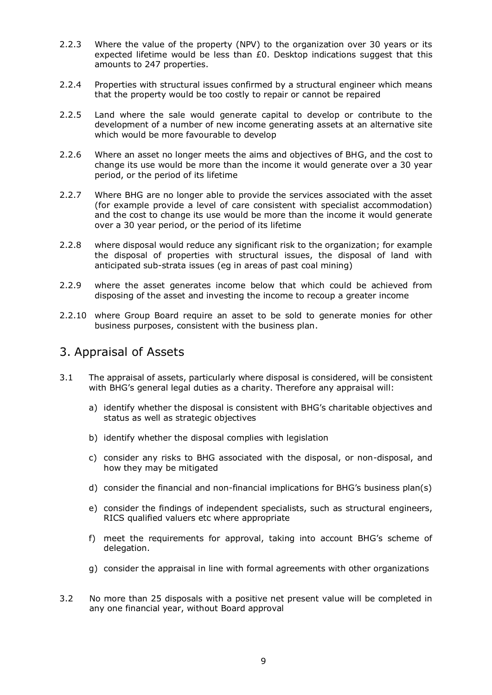- 2.2.3 Where the value of the property (NPV) to the organization over 30 years or its expected lifetime would be less than  $E_0$ . Desktop indications suggest that this amounts to 247 properties.
- 2.2.4 Properties with structural issues confirmed by a structural engineer which means that the property would be too costly to repair or cannot be repaired
- 2.2.5 Land where the sale would generate capital to develop or contribute to the development of a number of new income generating assets at an alternative site which would be more favourable to develop
- 2.2.6 Where an asset no longer meets the aims and objectives of BHG, and the cost to change its use would be more than the income it would generate over a 30 year period, or the period of its lifetime
- 2.2.7 Where BHG are no longer able to provide the services associated with the asset (for example provide a level of care consistent with specialist accommodation) and the cost to change its use would be more than the income it would generate over a 30 year period, or the period of its lifetime
- 2.2.8 where disposal would reduce any significant risk to the organization; for example the disposal of properties with structural issues, the disposal of land with anticipated sub-strata issues (eg in areas of past coal mining)
- 2.2.9 where the asset generates income below that which could be achieved from disposing of the asset and investing the income to recoup a greater income
- 2.2.10 where Group Board require an asset to be sold to generate monies for other business purposes, consistent with the business plan.

# 3. Appraisal of Assets

- 3.1 The appraisal of assets, particularly where disposal is considered, will be consistent with BHG's general legal duties as a charity. Therefore any appraisal will:
	- a) identify whether the disposal is consistent with BHG's charitable objectives and status as well as strategic objectives
	- b) identify whether the disposal complies with legislation
	- c) consider any risks to BHG associated with the disposal, or non-disposal, and how they may be mitigated
	- d) consider the financial and non-financial implications for BHG's business plan(s)
	- e) consider the findings of independent specialists, such as structural engineers, RICS qualified valuers etc where appropriate
	- f) meet the requirements for approval, taking into account BHG's scheme of delegation.
	- g) consider the appraisal in line with formal agreements with other organizations
- 3.2 No more than 25 disposals with a positive net present value will be completed in any one financial year, without Board approval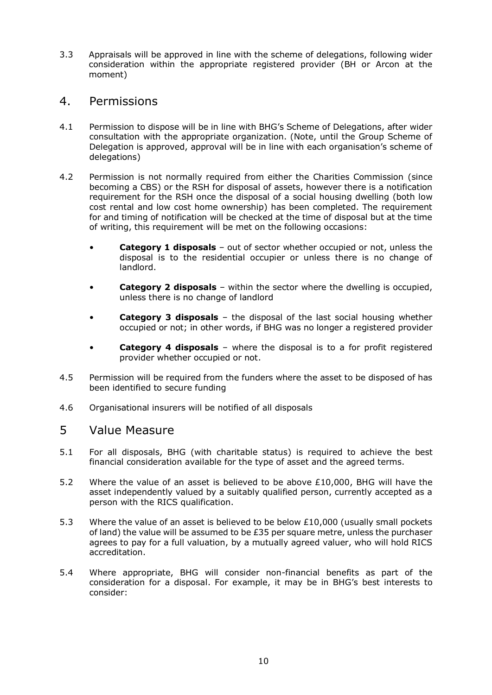3.3 Appraisals will be approved in line with the scheme of delegations, following wider consideration within the appropriate registered provider (BH or Arcon at the moment)

### 4. Permissions

- 4.1 Permission to dispose will be in line with BHG's Scheme of Delegations, after wider consultation with the appropriate organization. (Note, until the Group Scheme of Delegation is approved, approval will be in line with each organisation's scheme of delegations)
- 4.2 Permission is not normally required from either the Charities Commission (since becoming a CBS) or the RSH for disposal of assets, however there is a notification requirement for the RSH once the disposal of a social housing dwelling (both low cost rental and low cost home ownership) has been completed. The requirement for and timing of notification will be checked at the time of disposal but at the time of writing, this requirement will be met on the following occasions:
	- **Category 1 disposals** out of sector whether occupied or not, unless the disposal is to the residential occupier or unless there is no change of landlord.
	- **Category 2 disposals** within the sector where the dwelling is occupied, unless there is no change of landlord
	- **Category 3 disposals** the disposal of the last social housing whether occupied or not; in other words, if BHG was no longer a registered provider
	- **Category 4 disposals** where the disposal is to a for profit registered provider whether occupied or not.
- 4.5 Permission will be required from the funders where the asset to be disposed of has been identified to secure funding
- 4.6 Organisational insurers will be notified of all disposals

### 5 Value Measure

- 5.1 For all disposals, BHG (with charitable status) is required to achieve the best financial consideration available for the type of asset and the agreed terms.
- 5.2 Where the value of an asset is believed to be above £10,000, BHG will have the asset independently valued by a suitably qualified person, currently accepted as a person with the RICS qualification.
- 5.3 Where the value of an asset is believed to be below £10,000 (usually small pockets of land) the value will be assumed to be  $E35$  per square metre, unless the purchaser agrees to pay for a full valuation, by a mutually agreed valuer, who will hold RICS accreditation.
- 5.4 Where appropriate, BHG will consider non-financial benefits as part of the consideration for a disposal. For example, it may be in BHG's best interests to consider: